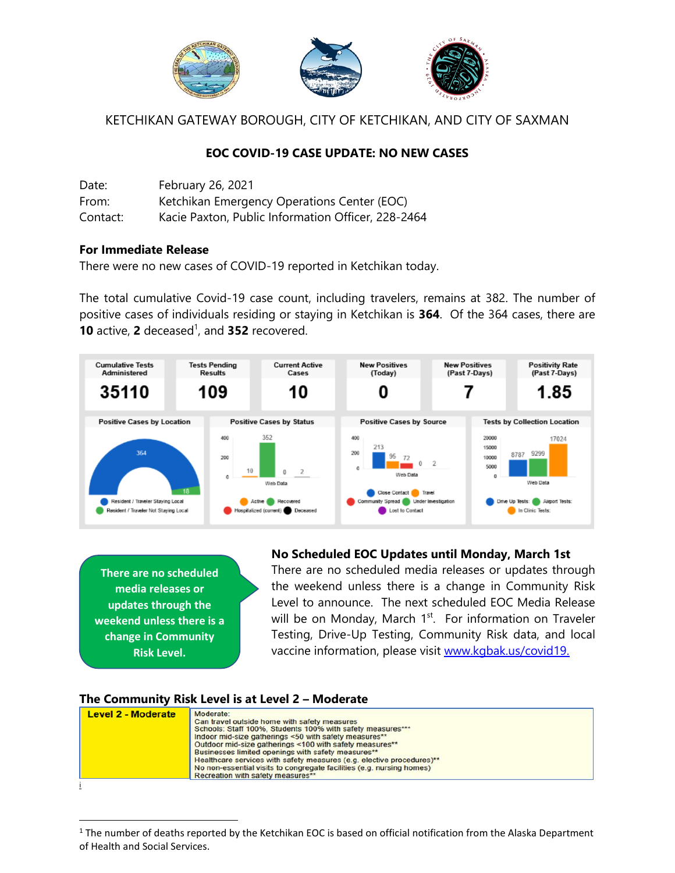

KETCHIKAN GATEWAY BOROUGH, CITY OF KETCHIKAN, AND CITY OF SAXMAN

## **EOC COVID-19 CASE UPDATE: NO NEW CASES**

| Date:    | February 26, 2021                                  |
|----------|----------------------------------------------------|
| From:    | Ketchikan Emergency Operations Center (EOC)        |
| Contact: | Kacie Paxton, Public Information Officer, 228-2464 |

## **For Immediate Release**

There were no new cases of COVID-19 reported in Ketchikan today.

The total cumulative Covid-19 case count, including travelers, remains at 382. The number of positive cases of individuals residing or staying in Ketchikan is **364**. Of the 364 cases, there are **10** active, **2** deceased 1 , and **352** recovered.



**There are no scheduled media releases or updates through the weekend unless there is a change in Community Risk Level.**

l

## **No Scheduled EOC Updates until Monday, March 1st**

There are no scheduled media releases or updates through the weekend unless there is a change in Community Risk Level to announce. The next scheduled EOC Media Release will be on Monday, March 1<sup>st</sup>. For information on Traveler Testing, Drive-Up Testing, Community Risk data, and local vaccine information, please visit [www.kgbak.us/covid19.](http://www.kgbak.us/covid19.)

## **The Community Risk Level is at Level 2 – Moderate**

| <b>Level 2 - Moderate</b> | Moderate:<br>Can travel outside home with safety measures<br>Schools: Staff 100%, Students 100% with safety measures***<br>Indoor mid-size gatherings <50 with safety measures**<br>Outdoor mid-size gatherings <100 with safety measures**<br>Businesses limited openings with safety measures**<br>Healthcare services with safety measures (e.g. elective procedures)**<br>No non-essential visits to congregate facilities (e.g. nursing homes)<br>Recreation with safety measures** |
|---------------------------|------------------------------------------------------------------------------------------------------------------------------------------------------------------------------------------------------------------------------------------------------------------------------------------------------------------------------------------------------------------------------------------------------------------------------------------------------------------------------------------|
|                           |                                                                                                                                                                                                                                                                                                                                                                                                                                                                                          |

 $1$  The number of deaths reported by the Ketchikan EOC is based on official notification from the Alaska Department of Health and Social Services.